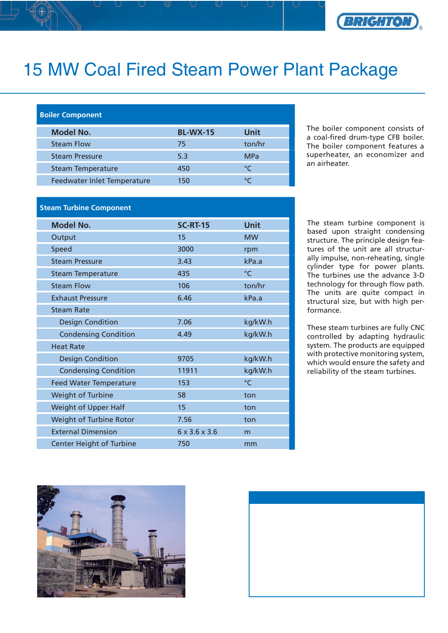

## 15 MW Coal Fired Steam Power Plant Package

## **Boiler Component**

| <b>Model No.</b>            | <b>BL-WX-15</b> | Unit          |
|-----------------------------|-----------------|---------------|
| <b>Steam Flow</b>           | 75              | ton/hr        |
| <b>Steam Pressure</b>       | 5.3             | <b>MPa</b>    |
| <b>Steam Temperature</b>    | 450             | $\mathcal{C}$ |
| Feedwater Inlet Temperature | 150             |               |

The boiler component consists of a coal-fired drum-type CFB boiler. The boiler component features a superheater, an economizer and an airheater.

## **Steam Turbine Component**

| <b>Model No.</b>                | <b>SC-RT-15</b> | Unit         |
|---------------------------------|-----------------|--------------|
| Output                          | 15              | <b>MW</b>    |
| Speed                           | 3000            | rpm          |
| <b>Steam Pressure</b>           | 3.43            | kPa.a        |
| <b>Steam Temperature</b>        | 435             | $^{\circ}$ C |
| <b>Steam Flow</b>               | 106             | ton/hr       |
| <b>Exhaust Pressure</b>         | 6.46            | kPa.a        |
| <b>Steam Rate</b>               |                 |              |
| <b>Design Condition</b>         | 7.06            | kg/kW.h      |
| <b>Condensing Condition</b>     | 4.49            | kg/kW.h      |
| <b>Heat Rate</b>                |                 |              |
| <b>Design Condition</b>         | 9705            | kg/kW.h      |
| <b>Condensing Condition</b>     | 11911           | kg/kW.h      |
| <b>Feed Water Temperature</b>   | 153             | °C           |
| <b>Weight of Turbine</b>        | 58              | ton          |
| Weight of Upper Half            | 15              | ton          |
| Weight of Turbine Rotor         | 7.56            | ton          |
| <b>External Dimension</b>       | 6 x 3.6 x 3.6   | m            |
| <b>Center Height of Turbine</b> | 750             | mm           |

The steam turbine component is based upon straight condensing structure. The principle design features of the unit are all structurally impulse, non-reheating, single cylinder type for power plants. The turbines use the advance 3-D technology for through flow path. The units are quite compact in structural size, but with high performance.

These steam turbines are fully CNC controlled by adapting hydraulic system. The products are equipped with protective monitoring system, which would ensure the safety and reliability of the steam turbines.